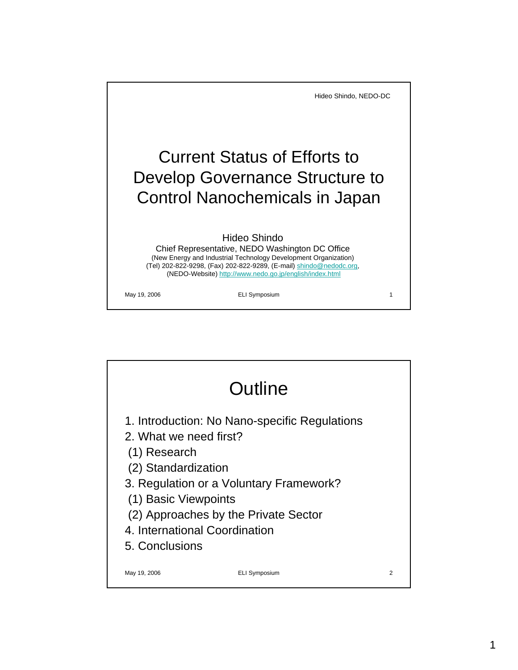

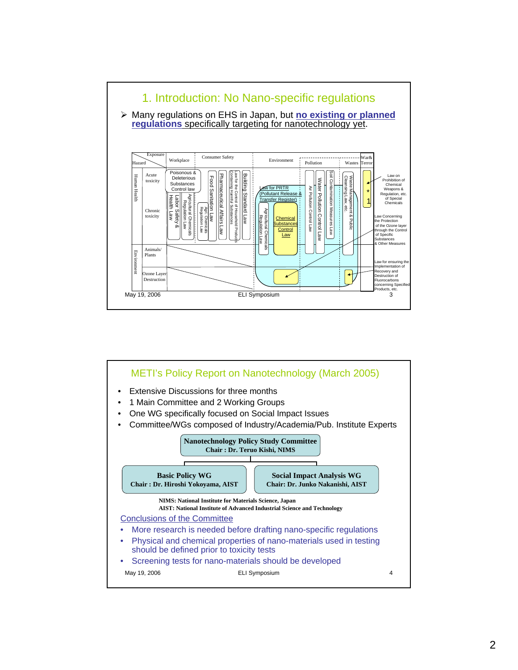

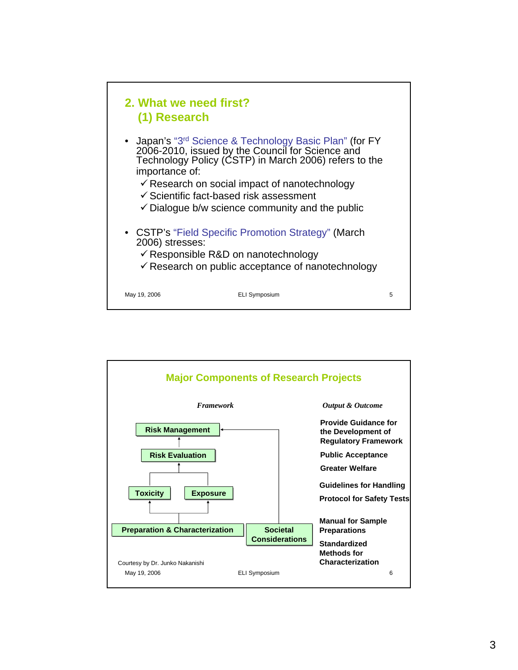

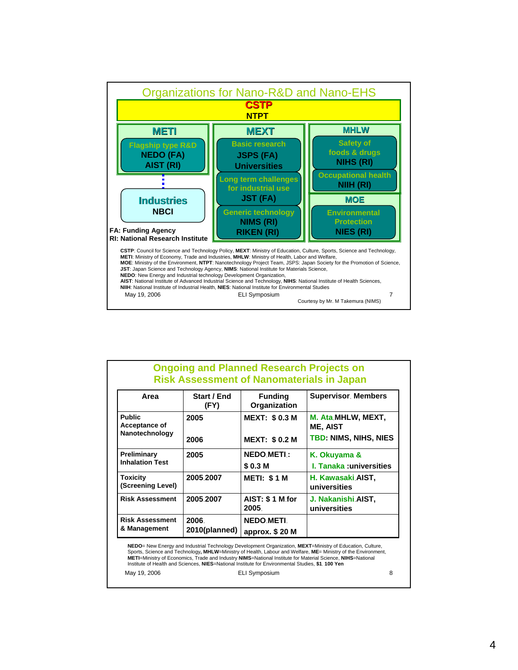

| Area                                             | Start / End<br>(FY) | <b>Funding</b><br>Organization | <b>Supervisor, Members</b>            |
|--------------------------------------------------|---------------------|--------------------------------|---------------------------------------|
| <b>Public</b><br>Acceptance of<br>Nanotechnology | 2005                | <b>MEXT: \$0.3 M</b>           | M. Ata MHLW, MEXT,<br><b>ME, AIST</b> |
|                                                  | 2006                | <b>MEXT: \$0.2 M</b>           | <b>TBD: NIMS, NIHS, NIES</b>          |
| Preliminary<br><b>Inhalation Test</b>            | 2005                | <b>NEDO METI:</b>              | K. Okuyama &                          |
|                                                  |                     | \$0.3 M                        | <b>L. Tanaka :universities</b>        |
| Toxicity<br>(Screening Level)                    | 2005.2007           | <b>METI: \$1 M</b>             | H. Kawasaki AIST,<br>universities     |
| <b>Risk Assessment</b>                           | 2005.2007           | AIST: \$1 M for<br>2005.       | J. Nakanishi AIST,<br>universities    |
| <b>Risk Assessment</b><br>& Management           | 2006.               | <b>NEDO METI.</b>              |                                       |
|                                                  | 2010(planned)       | approx. $$20$ M                |                                       |

May 19, 2006 **ELI Symposium** 8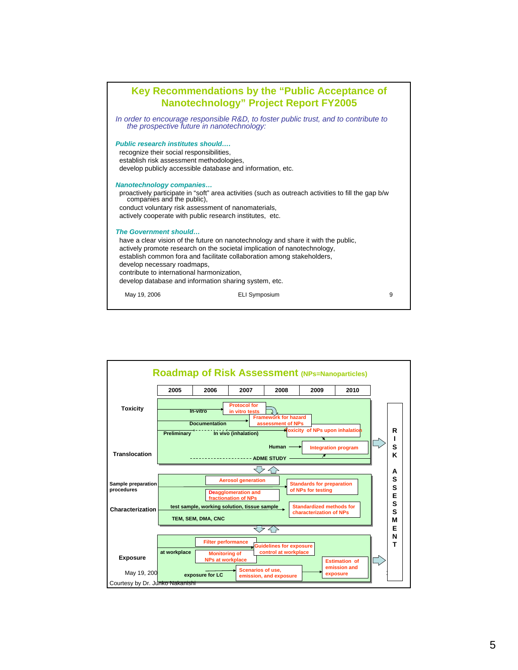

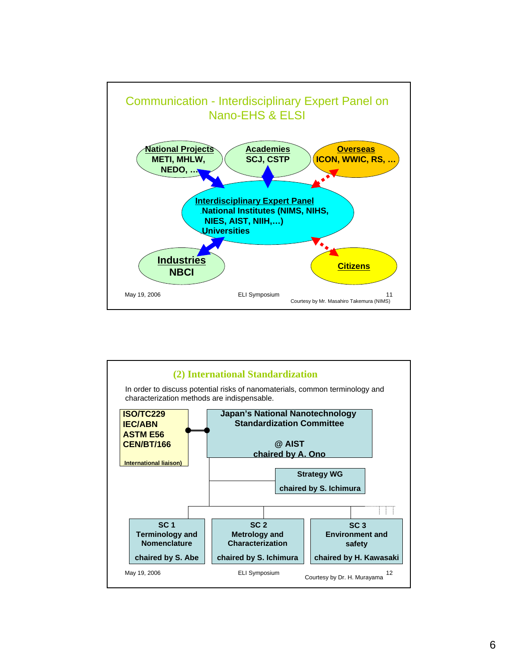

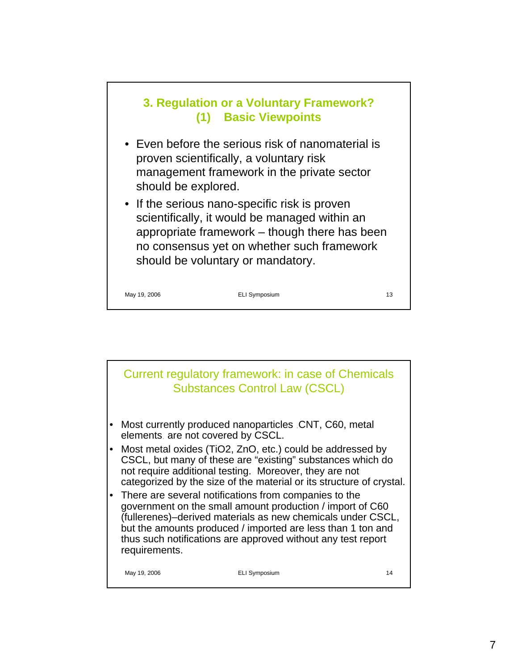

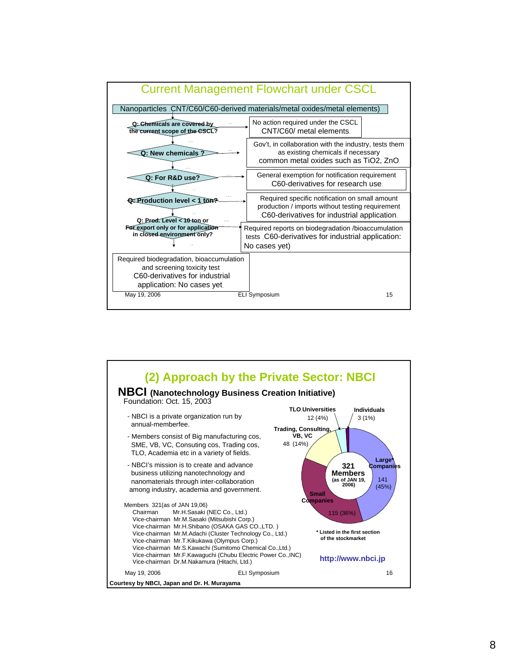

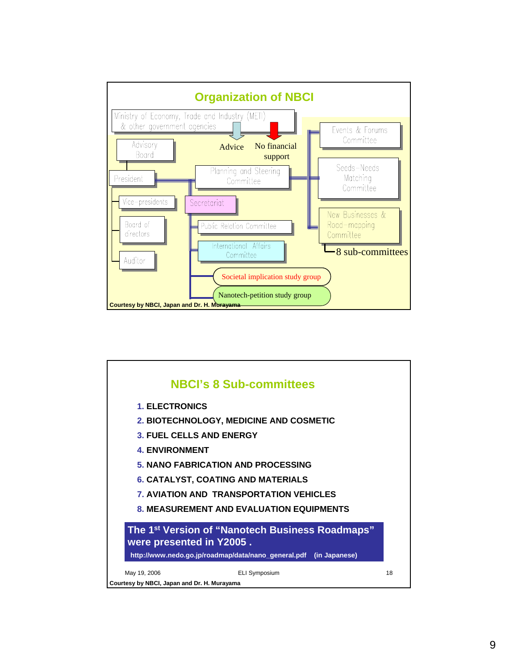

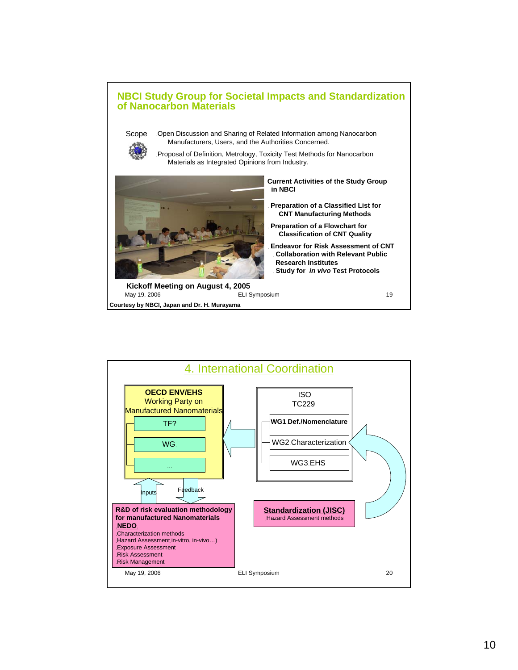

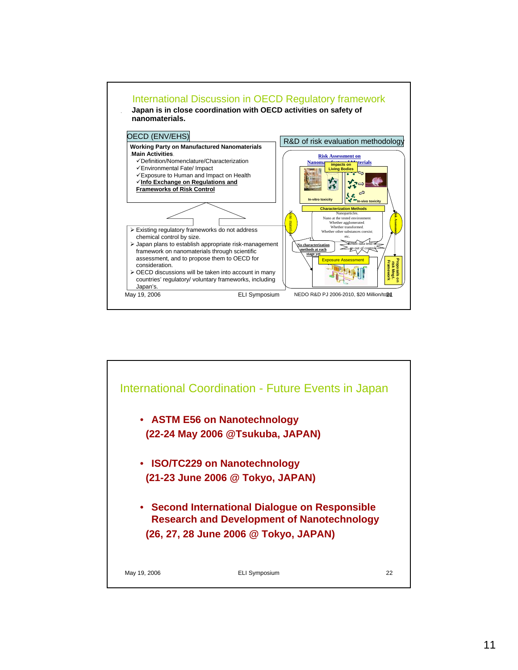